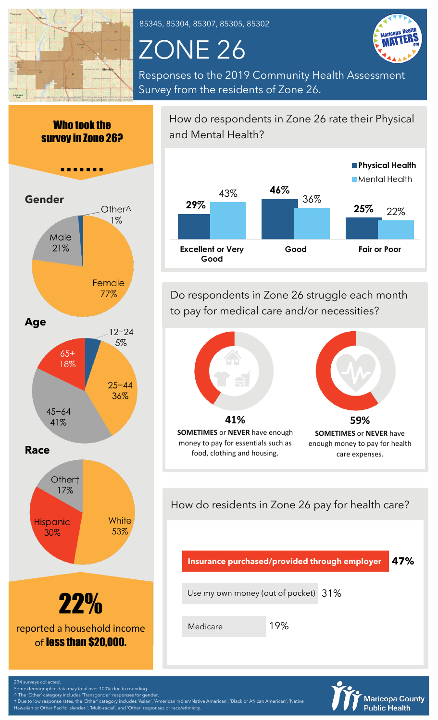

85345, 85304, 85307, 85305, 85302

# ZONE 26



Responses to the 2019 Community Health Assessment Survey from the residents of Zone 26.





How do respondents in Zone 26 rate their Physical and Mental Health?



Do respondents in Zone 26 struggle each month to pay for medical care and/or necessities?



How do residents in Zone 26 pay for health care?

**47% Insurance purchased/provided through employer**

Use my own money (out of pocket)  $\,31\%$ 

Medicare

19%



294 surveys collected. Some demographic data may total over 100% due to rounding.

^ The 'Other' category includes 'Transgender' responses for gender.

† Due to low response rates, the 'Other' category includes 'Asian', 'American Indian/Native American', 'Black or African American', 'Native n or Other Pacific Islander ', 'Multi-racial', and 'Other' responses or race/ethnicity